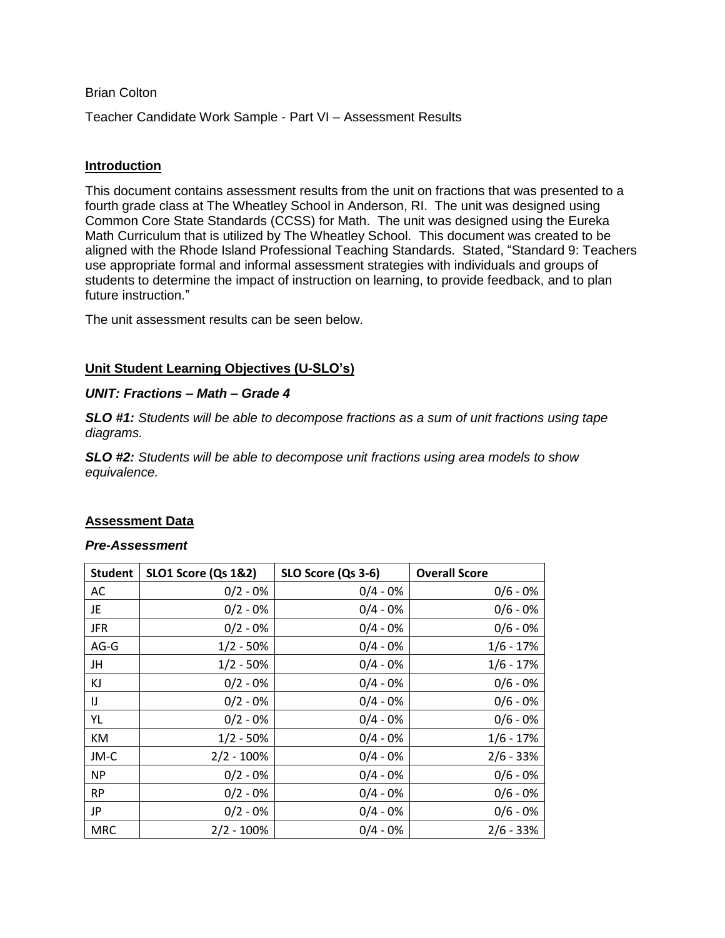### Brian Colton

Teacher Candidate Work Sample - Part VI – Assessment Results

#### **Introduction**

This document contains assessment results from the unit on fractions that was presented to a fourth grade class at The Wheatley School in Anderson, RI. The unit was designed using Common Core State Standards (CCSS) for Math. The unit was designed using the Eureka Math Curriculum that is utilized by The Wheatley School. This document was created to be aligned with the Rhode Island Professional Teaching Standards. Stated, "Standard 9: Teachers use appropriate formal and informal assessment strategies with individuals and groups of students to determine the impact of instruction on learning, to provide feedback, and to plan future instruction."

The unit assessment results can be seen below.

## **Unit Student Learning Objectives (U-SLO's)**

#### *UNIT: Fractions – Math – Grade 4*

*SLO #1: Students will be able to decompose fractions as a sum of unit fractions using tape diagrams.*

*SLO #2: Students will be able to decompose unit fractions using area models to show equivalence.*

## **Assessment Data**

#### *Pre-Assessment*

| <b>Student</b> | <b>SLO1 Score (Qs 1&amp;2)</b> | SLO Score (Qs 3-6) | <b>Overall Score</b> |
|----------------|--------------------------------|--------------------|----------------------|
| AC             | $0/2 - 0%$                     | $0/4 - 0%$         | $0/6 - 0%$           |
| JE             | $0/2 - 0%$                     | $0/4 - 0%$         | $0/6 - 0%$           |
| <b>JFR</b>     | $0/2 - 0%$                     | $0/4 - 0%$         | $0/6 - 0%$           |
| $AG-G$         | $1/2 - 50%$                    | $0/4 - 0%$         | $1/6 - 17%$          |
| JH             | $1/2 - 50%$                    | $0/4 - 0%$         | $1/6 - 17%$          |
| KJ             | $0/2 - 0%$                     | $0/4 - 0%$         | $0/6 - 0%$           |
| IJ             | $0/2 - 0%$                     | $0/4 - 0%$         | $0/6 - 0%$           |
| YL             | $0/2 - 0%$                     | $0/4 - 0%$         | $0/6 - 0%$           |
| KM             | $1/2 - 50%$                    | $0/4 - 0%$         | $1/6 - 17%$          |
| JM-C           | $2/2 - 100%$                   | $0/4 - 0%$         | $2/6 - 33%$          |
| <b>NP</b>      | $0/2 - 0%$                     | $0/4 - 0%$         | $0/6 - 0%$           |
| <b>RP</b>      | $0/2 - 0%$                     | $0/4 - 0%$         | $0/6 - 0%$           |
| JP             | $0/2 - 0%$                     | $0/4 - 0%$         | $0/6 - 0%$           |
| <b>MRC</b>     | $2/2 - 100%$                   | $0/4 - 0%$         | $2/6 - 33%$          |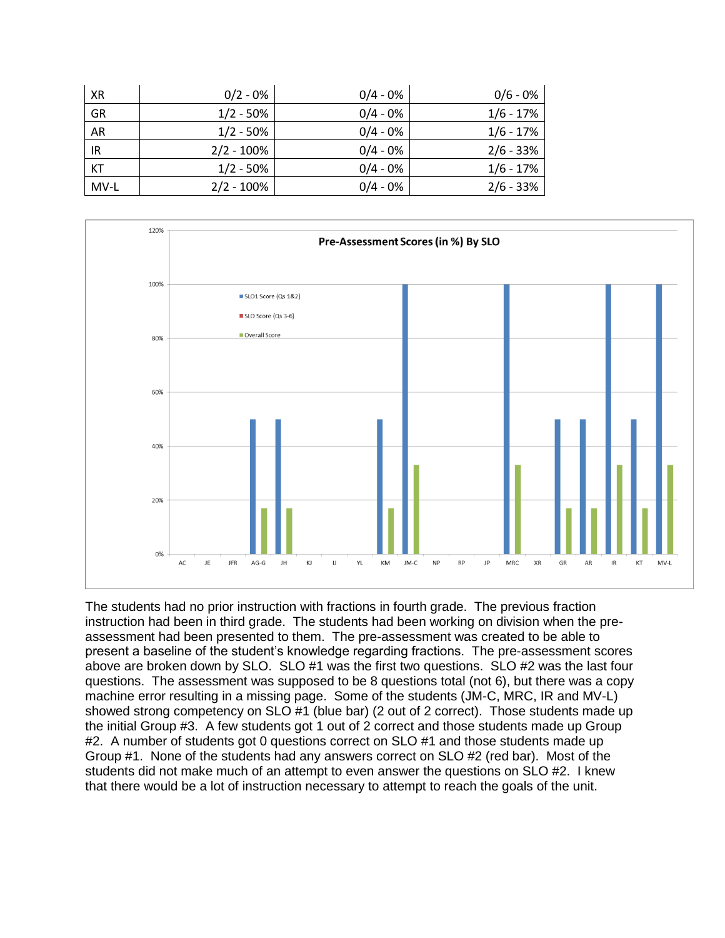| XR        | $0/2 - 0%$    | $0/4 - 0%$ | $0/6 - 0%$  |
|-----------|---------------|------------|-------------|
| GR        | $1/2 - 50%$   | $0/4 - 0%$ | $1/6 - 17%$ |
| AR        | $1/2 - 50%$   | $0/4 - 0%$ | $1/6 - 17%$ |
| IR        | $2/2 - 100\%$ | $0/4 - 0%$ | $2/6 - 33%$ |
| <b>KT</b> | $1/2 - 50%$   | $0/4 - 0%$ | $1/6 - 17%$ |
| MV-L      | $2/2 - 100\%$ | $0/4 - 0%$ | $2/6 - 33%$ |



The students had no prior instruction with fractions in fourth grade. The previous fraction instruction had been in third grade. The students had been working on division when the preassessment had been presented to them. The pre-assessment was created to be able to present a baseline of the student's knowledge regarding fractions. The pre-assessment scores above are broken down by SLO. SLO #1 was the first two questions. SLO #2 was the last four questions. The assessment was supposed to be 8 questions total (not 6), but there was a copy machine error resulting in a missing page. Some of the students (JM-C, MRC, IR and MV-L) showed strong competency on SLO #1 (blue bar) (2 out of 2 correct). Those students made up the initial Group #3. A few students got 1 out of 2 correct and those students made up Group #2. A number of students got 0 questions correct on SLO #1 and those students made up Group #1. None of the students had any answers correct on SLO #2 (red bar). Most of the students did not make much of an attempt to even answer the questions on SLO #2. I knew that there would be a lot of instruction necessary to attempt to reach the goals of the unit.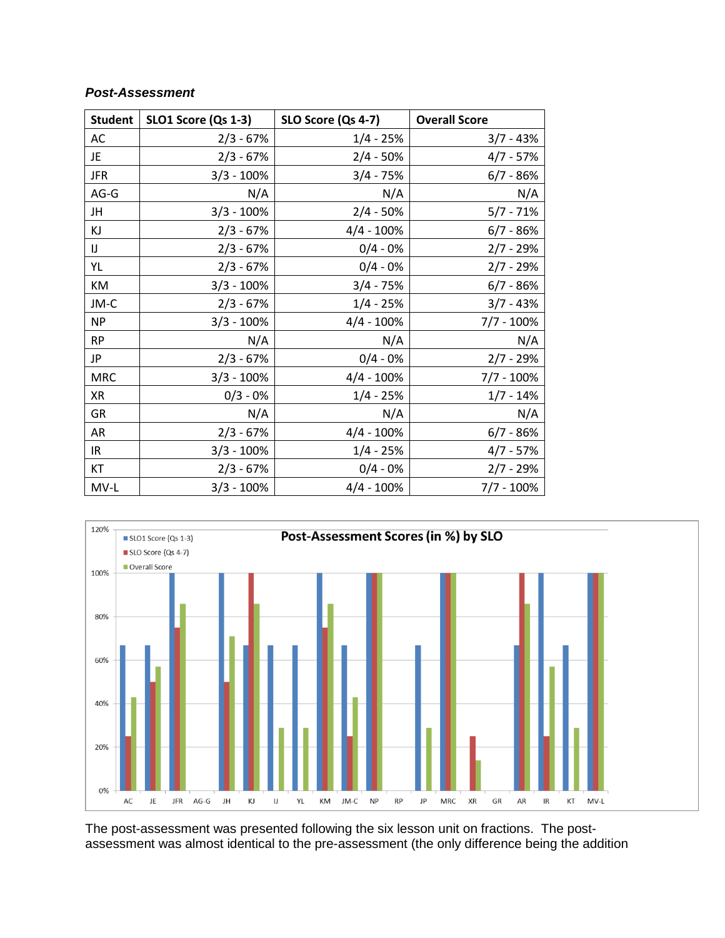# *Post-Assessment*

| <b>Student</b> | <b>SLO1 Score (Qs 1-3)</b> | SLO Score (Qs 4-7)<br><b>Overall Score</b> |               |
|----------------|----------------------------|--------------------------------------------|---------------|
| AC             | $2/3 - 67%$                | $1/4 - 25%$                                | $3/7 - 43%$   |
| JE             | $2/3 - 67%$                | $2/4 - 50%$                                | $4/7 - 57%$   |
| <b>JFR</b>     | $3/3 - 100%$               | $3/4 - 75%$                                | $6/7 - 86%$   |
| AG-G           | N/A                        | N/A                                        | N/A           |
| JH             | $3/3 - 100\%$              | $2/4 - 50%$                                | $5/7 - 71%$   |
| ΚJ             | $2/3 - 67%$                | $4/4 - 100%$                               | $6/7 - 86%$   |
| IJ             | $2/3 - 67%$                | $0/4 - 0%$                                 | $2/7 - 29%$   |
| YL             | $2/3 - 67%$                | $0/4 - 0%$                                 | $2/7 - 29%$   |
| KM             | $3/3 - 100%$               | $3/4 - 75%$                                | $6/7 - 86%$   |
| JM-C           | $2/3 - 67%$                | $1/4 - 25%$                                | $3/7 - 43%$   |
| <b>NP</b>      | $3/3 - 100%$               | $4/4 - 100%$                               | $7/7 - 100\%$ |
| <b>RP</b>      | N/A                        | N/A                                        | N/A           |
| JP             | $2/3 - 67%$                | $0/4 - 0%$                                 | $2/7 - 29%$   |
| <b>MRC</b>     | $3/3 - 100%$               | $4/4 - 100\%$                              | $7/7 - 100\%$ |
| XR             | $0/3 - 0%$                 | $1/4 - 25%$                                | $1/7 - 14%$   |
| GR             | N/A                        | N/A                                        | N/A           |
| AR             | $2/3 - 67%$                | $4/4 - 100%$                               | $6/7 - 86%$   |
| IR.            | $3/3 - 100%$               | $1/4 - 25%$                                | $4/7 - 57%$   |
| KT             | $2/3 - 67%$                | $0/4 - 0%$                                 | $2/7 - 29%$   |
| MV-L           | $3/3 - 100%$               | $4/4 - 100%$                               | $7/7 - 100\%$ |



The post-assessment was presented following the six lesson unit on fractions. The postassessment was almost identical to the pre-assessment (the only difference being the addition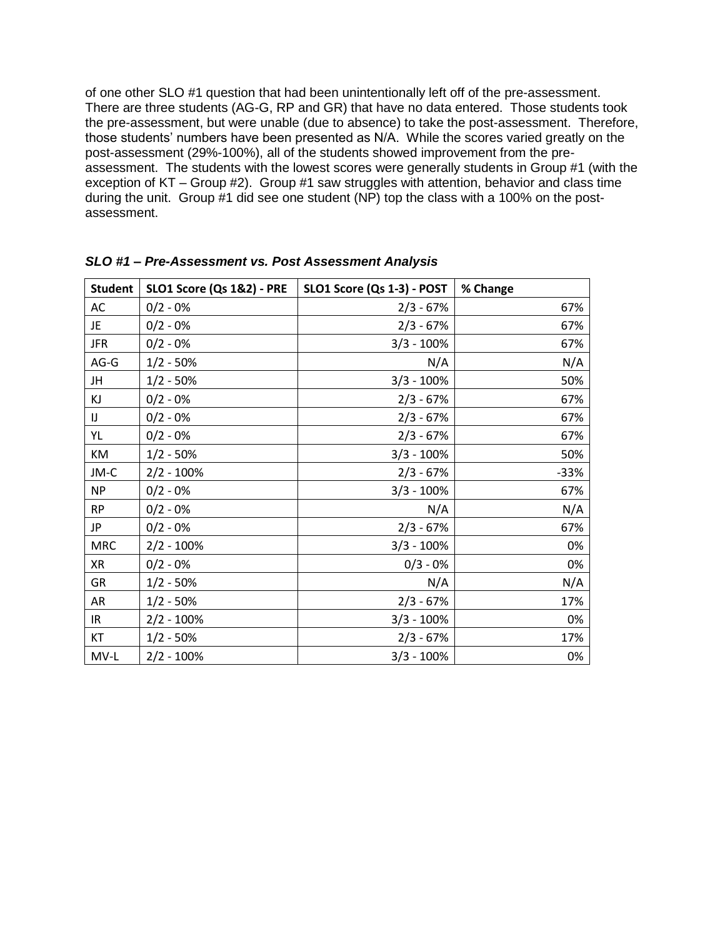of one other SLO #1 question that had been unintentionally left off of the pre-assessment. There are three students (AG-G, RP and GR) that have no data entered. Those students took the pre-assessment, but were unable (due to absence) to take the post-assessment. Therefore, those students' numbers have been presented as N/A. While the scores varied greatly on the post-assessment (29%-100%), all of the students showed improvement from the preassessment. The students with the lowest scores were generally students in Group #1 (with the exception of KT – Group #2). Group #1 saw struggles with attention, behavior and class time during the unit. Group #1 did see one student (NP) top the class with a 100% on the postassessment.

| <b>Student</b> | <b>SLO1 Score (Qs 1&amp;2) - PRE</b> | SLO1 Score (Qs 1-3) - POST | % Change |
|----------------|--------------------------------------|----------------------------|----------|
| AC             | $0/2 - 0%$                           | $2/3 - 67%$                | 67%      |
| JE             | $0/2 - 0%$                           | $2/3 - 67%$                | 67%      |
| <b>JFR</b>     | $0/2 - 0%$                           | $3/3 - 100%$               | 67%      |
| $AG-G$         | $1/2 - 50%$                          | N/A                        | N/A      |
| JH             | $1/2 - 50%$                          | $3/3 - 100%$               | 50%      |
| KJ             | $0/2 - 0%$                           | $2/3 - 67%$                | 67%      |
| IJ             | $0/2 - 0%$                           | $2/3 - 67%$                | 67%      |
| YL             | $0/2 - 0%$                           | $2/3 - 67%$                | 67%      |
| KM             | $1/2 - 50%$                          | $3/3 - 100%$               | 50%      |
| JM-C           | $2/2 - 100%$                         | $2/3 - 67%$                | $-33%$   |
| <b>NP</b>      | $0/2 - 0%$                           | $3/3 - 100\%$              | 67%      |
| <b>RP</b>      | $0/2 - 0%$                           | N/A                        | N/A      |
| JP             | $0/2 - 0%$                           | $2/3 - 67%$                | 67%      |
| <b>MRC</b>     | $2/2 - 100\%$                        | $3/3 - 100\%$              | 0%       |
| XR             | $0/2 - 0%$                           | $0/3 - 0%$                 | 0%       |
| GR             | $1/2 - 50%$                          | N/A                        | N/A      |
| AR             | $1/2 - 50%$                          | $2/3 - 67%$                | 17%      |
| IR.            | $2/2 - 100%$                         | $3/3 - 100%$               | 0%       |
| KT             | $1/2 - 50%$                          | $2/3 - 67%$                | 17%      |
| MV-L           | $2/2 - 100%$                         | $3/3 - 100\%$              | 0%       |

*SLO #1 – Pre-Assessment vs. Post Assessment Analysis*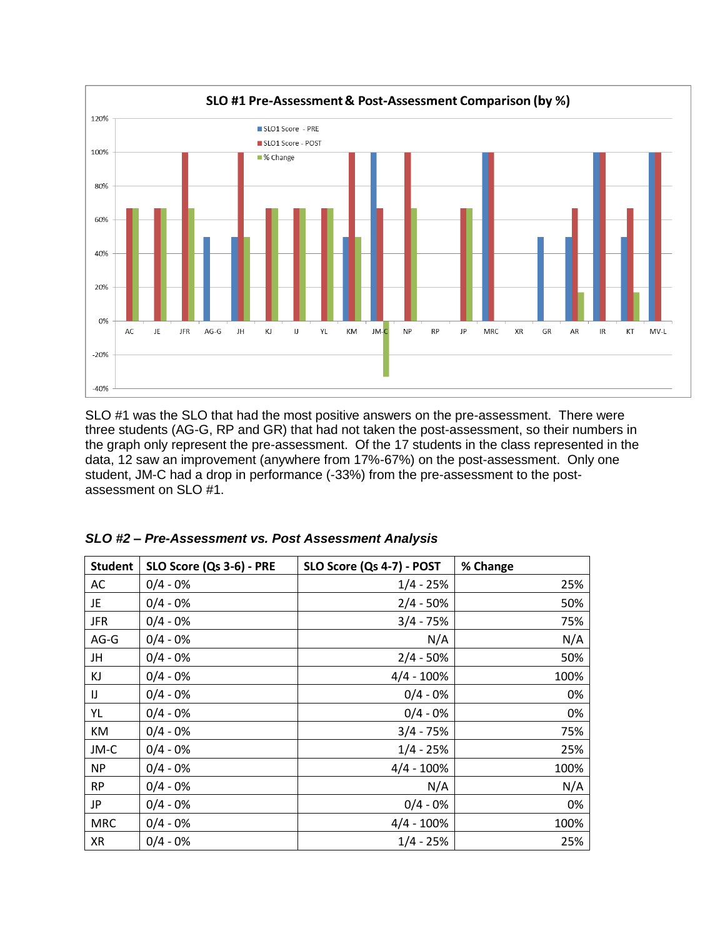

SLO #1 was the SLO that had the most positive answers on the pre-assessment. There were three students (AG-G, RP and GR) that had not taken the post-assessment, so their numbers in the graph only represent the pre-assessment. Of the 17 students in the class represented in the data, 12 saw an improvement (anywhere from 17%-67%) on the post-assessment. Only one student, JM-C had a drop in performance (-33%) from the pre-assessment to the postassessment on SLO #1.

| <b>Student</b> | SLO Score (Qs 3-6) - PRE | SLO Score (Qs 4-7) - POST | % Change |
|----------------|--------------------------|---------------------------|----------|
| AC             | $0/4 - 0%$               | $1/4 - 25%$               | 25%      |
| JE             | $0/4 - 0%$               | $2/4 - 50%$               | 50%      |
| <b>JFR</b>     | $0/4 - 0%$               | $3/4 - 75%$               | 75%      |
| AG-G           | $0/4 - 0%$               | N/A                       | N/A      |
| JH             | $0/4 - 0%$               | $2/4 - 50%$               | 50%      |
| ΚJ             | $0/4 - 0%$               | $4/4 - 100%$              | 100%     |
| IJ             | $0/4 - 0%$               | $0/4 - 0%$                | 0%       |
| YL             | $0/4 - 0%$               | $0/4 - 0%$                | 0%       |
| КM             | $0/4 - 0%$               | $3/4 - 75%$               | 75%      |
| JM-C           | $0/4 - 0%$               | $1/4 - 25%$               | 25%      |
| <b>NP</b>      | $0/4 - 0%$               | $4/4 - 100%$              | 100%     |
| <b>RP</b>      | $0/4 - 0%$               | N/A                       | N/A      |
| JP             | $0/4 - 0%$               | $0/4 - 0%$                | 0%       |
| <b>MRC</b>     | $0/4 - 0%$               | $4/4 - 100\%$             | 100%     |
| XR             | $0/4 - 0%$               | $1/4 - 25%$               | 25%      |

| SLO #2 - Pre-Assessment vs. Post Assessment Analysis |  |  |  |  |  |  |  |
|------------------------------------------------------|--|--|--|--|--|--|--|
|------------------------------------------------------|--|--|--|--|--|--|--|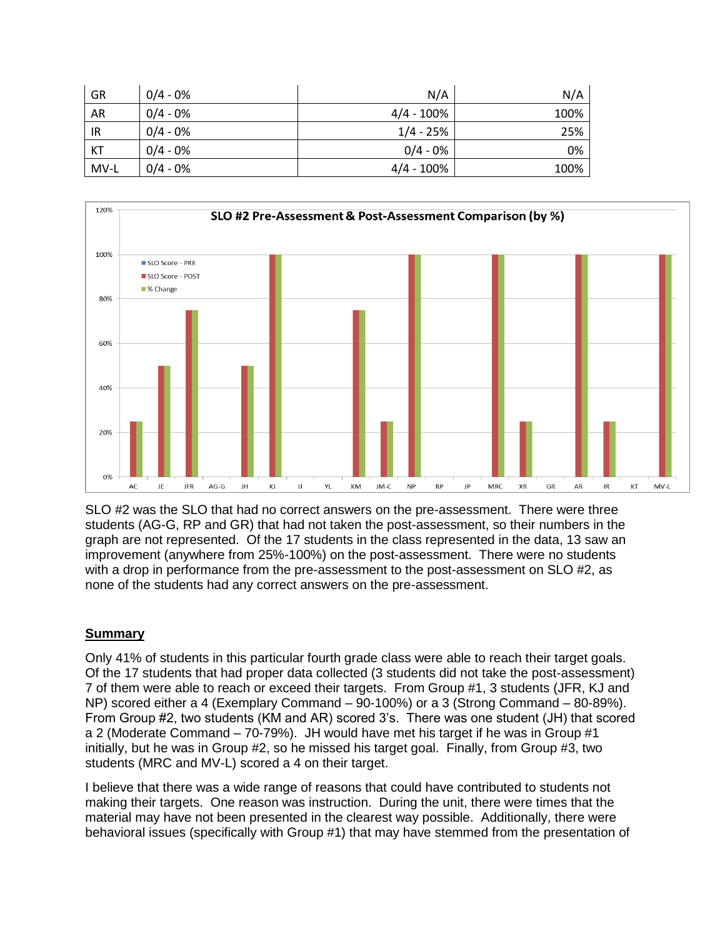| GR        | $0/4 - 0%$ | N/A           | N/A  |
|-----------|------------|---------------|------|
| <b>AR</b> | $0/4 - 0%$ | 4/4 - 100%    | 100% |
| IR        | $0/4 - 0%$ | $1/4 - 25%$   | 25%  |
| KT        | $0/4 - 0%$ | $0/4 - 0%$    | 0%   |
| MV-L      | $0/4 - 0%$ | $4/4 - 100\%$ | 100% |



SLO #2 was the SLO that had no correct answers on the pre-assessment. There were three students (AG-G, RP and GR) that had not taken the post-assessment, so their numbers in the graph are not represented. Of the 17 students in the class represented in the data, 13 saw an improvement (anywhere from 25%-100%) on the post-assessment. There were no students with a drop in performance from the pre-assessment to the post-assessment on SLO #2, as none of the students had any correct answers on the pre-assessment.

## **Summary**

Only 41% of students in this particular fourth grade class were able to reach their target goals. Of the 17 students that had proper data collected (3 students did not take the post-assessment) 7 of them were able to reach or exceed their targets. From Group #1, 3 students (JFR, KJ and NP) scored either a 4 (Exemplary Command – 90-100%) or a 3 (Strong Command – 80-89%). From Group #2, two students (KM and AR) scored 3's. There was one student (JH) that scored a 2 (Moderate Command – 70-79%). JH would have met his target if he was in Group #1 initially, but he was in Group #2, so he missed his target goal. Finally, from Group #3, two students (MRC and MV-L) scored a 4 on their target.

I believe that there was a wide range of reasons that could have contributed to students not making their targets. One reason was instruction. During the unit, there were times that the material may have not been presented in the clearest way possible. Additionally, there were behavioral issues (specifically with Group #1) that may have stemmed from the presentation of